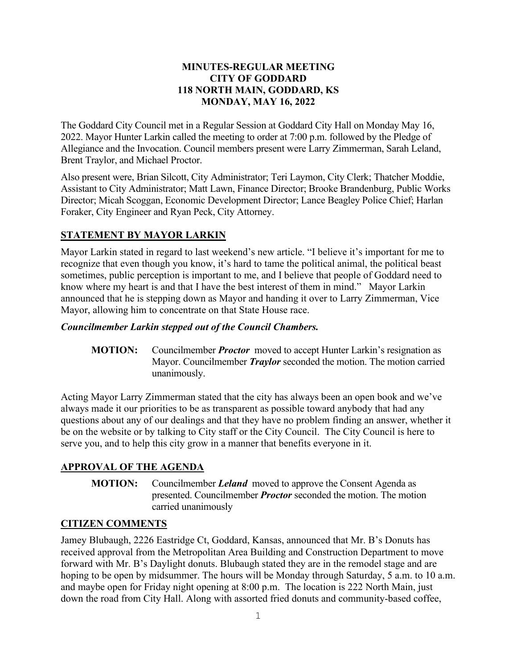#### **MINUTES-REGULAR MEETING CITY OF GODDARD 118 NORTH MAIN, GODDARD, KS MONDAY, MAY 16, 2022**

The Goddard City Council met in a Regular Session at Goddard City Hall on Monday May 16, 2022. Mayor Hunter Larkin called the meeting to order at 7:00 p.m. followed by the Pledge of Allegiance and the Invocation. Council members present were Larry Zimmerman, Sarah Leland, Brent Traylor, and Michael Proctor.

Also present were, Brian Silcott, City Administrator; Teri Laymon, City Clerk; Thatcher Moddie, Assistant to City Administrator; Matt Lawn, Finance Director; Brooke Brandenburg, Public Works Director; Micah Scoggan, Economic Development Director; Lance Beagley Police Chief; Harlan Foraker, City Engineer and Ryan Peck, City Attorney.

# **STATEMENT BY MAYOR LARKIN**

Mayor Larkin stated in regard to last weekend's new article. "I believe it's important for me to recognize that even though you know, it's hard to tame the political animal, the political beast sometimes, public perception is important to me, and I believe that people of Goddard need to know where my heart is and that I have the best interest of them in mind." Mayor Larkin announced that he is stepping down as Mayor and handing it over to Larry Zimmerman, Vice Mayor, allowing him to concentrate on that State House race.

## *Councilmember Larkin stepped out of the Council Chambers.*

**MOTION:** Councilmember *Proctor* moved to accept Hunter Larkin's resignation as Mayor. Councilmember *Traylor* seconded the motion. The motion carried unanimously.

Acting Mayor Larry Zimmerman stated that the city has always been an open book and we've always made it our priorities to be as transparent as possible toward anybody that had any questions about any of our dealings and that they have no problem finding an answer, whether it be on the website or by talking to City staff or the City Council. The City Council is here to serve you, and to help this city grow in a manner that benefits everyone in it.

# **APPROVAL OF THE AGENDA**

**MOTION:** Councilmember *Leland* moved to approve the Consent Agenda as presented. Councilmember *Proctor* seconded the motion. The motion carried unanimously

# **CITIZEN COMMENTS**

Jamey Blubaugh, 2226 Eastridge Ct, Goddard, Kansas, announced that Mr. B's Donuts has received approval from the Metropolitan Area Building and Construction Department to move forward with Mr. B's Daylight donuts. Blubaugh stated they are in the remodel stage and are hoping to be open by midsummer. The hours will be Monday through Saturday, 5 a.m. to 10 a.m. and maybe open for Friday night opening at 8:00 p.m. The location is 222 North Main, just down the road from City Hall. Along with assorted fried donuts and community-based coffee,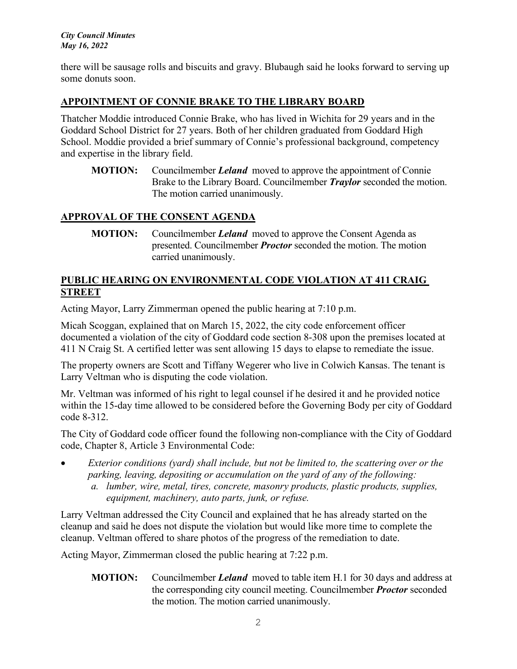there will be sausage rolls and biscuits and gravy. Blubaugh said he looks forward to serving up some donuts soon.

## **APPOINTMENT OF CONNIE BRAKE TO THE LIBRARY BOARD**

Thatcher Moddie introduced Connie Brake, who has lived in Wichita for 29 years and in the Goddard School District for 27 years. Both of her children graduated from Goddard High School. Moddie provided a brief summary of Connie's professional background, competency and expertise in the library field.

**MOTION:** Councilmember *Leland* moved to approve the appointment of Connie Brake to the Library Board. Councilmember *Traylor* seconded the motion. The motion carried unanimously.

## **APPROVAL OF THE CONSENT AGENDA**

**MOTION:** Councilmember *Leland* moved to approve the Consent Agenda as presented. Councilmember *Proctor* seconded the motion. The motion carried unanimously.

### **PUBLIC HEARING ON ENVIRONMENTAL CODE VIOLATION AT 411 CRAIG STREET**

Acting Mayor, Larry Zimmerman opened the public hearing at 7:10 p.m.

Micah Scoggan, explained that on March 15, 2022, the city code enforcement officer documented a violation of the city of Goddard code section 8-308 upon the premises located at 411 N Craig St. A certified letter was sent allowing 15 days to elapse to remediate the issue.

The property owners are Scott and Tiffany Wegerer who live in Colwich Kansas. The tenant is Larry Veltman who is disputing the code violation.

Mr. Veltman was informed of his right to legal counsel if he desired it and he provided notice within the 15-day time allowed to be considered before the Governing Body per city of Goddard code 8-312.

The City of Goddard code officer found the following non-compliance with the City of Goddard code, Chapter 8, Article 3 Environmental Code:

• *Exterior conditions (yard) shall include, but not be limited to, the scattering over or the parking, leaving, depositing or accumulation on the yard of any of the following: a. lumber, wire, metal, tires, concrete, masonry products, plastic products, supplies, equipment, machinery, auto parts, junk, or refuse.*

Larry Veltman addressed the City Council and explained that he has already started on the cleanup and said he does not dispute the violation but would like more time to complete the cleanup. Veltman offered to share photos of the progress of the remediation to date.

Acting Mayor, Zimmerman closed the public hearing at 7:22 p.m.

**MOTION:** Councilmember *Leland* moved to table item H.1 for 30 days and address at the corresponding city council meeting. Councilmember *Proctor* seconded the motion. The motion carried unanimously.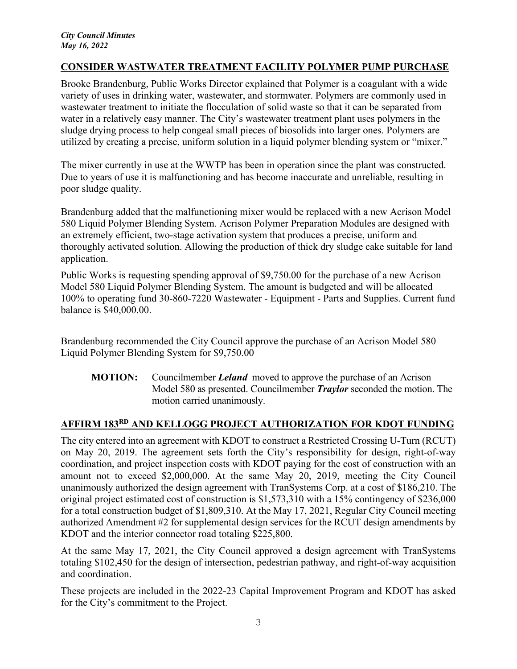### **CONSIDER WASTWATER TREATMENT FACILITY POLYMER PUMP PURCHASE**

Brooke Brandenburg, Public Works Director explained that Polymer is a coagulant with a wide variety of uses in drinking water, wastewater, and stormwater. Polymers are commonly used in wastewater treatment to initiate the flocculation of solid waste so that it can be separated from water in a relatively easy manner. The City's wastewater treatment plant uses polymers in the sludge drying process to help congeal small pieces of biosolids into larger ones. Polymers are utilized by creating a precise, uniform solution in a liquid polymer blending system or "mixer."

The mixer currently in use at the WWTP has been in operation since the plant was constructed. Due to years of use it is malfunctioning and has become inaccurate and unreliable, resulting in poor sludge quality.

Brandenburg added that the malfunctioning mixer would be replaced with a new Acrison Model 580 Liquid Polymer Blending System. Acrison Polymer Preparation Modules are designed with an extremely efficient, two-stage activation system that produces a precise, uniform and thoroughly activated solution. Allowing the production of thick dry sludge cake suitable for land application.

Public Works is requesting spending approval of \$9,750.00 for the purchase of a new Acrison Model 580 Liquid Polymer Blending System. The amount is budgeted and will be allocated 100% to operating fund 30-860-7220 Wastewater - Equipment - Parts and Supplies. Current fund balance is \$40,000.00.

Brandenburg recommended the City Council approve the purchase of an Acrison Model 580 Liquid Polymer Blending System for \$9,750.00

**MOTION:** Councilmember *Leland* moved to approve the purchase of an Acrison Model 580 as presented. Councilmember *Traylor* seconded the motion. The motion carried unanimously.

## **AFFIRM 183RD AND KELLOGG PROJECT AUTHORIZATION FOR KDOT FUNDING**

The city entered into an agreement with KDOT to construct a Restricted Crossing U-Turn (RCUT) on May 20, 2019. The agreement sets forth the City's responsibility for design, right-of-way coordination, and project inspection costs with KDOT paying for the cost of construction with an amount not to exceed \$2,000,000. At the same May 20, 2019, meeting the City Council unanimously authorized the design agreement with TranSystems Corp. at a cost of \$186,210. The original project estimated cost of construction is \$1,573,310 with a 15% contingency of \$236,000 for a total construction budget of \$1,809,310. At the May 17, 2021, Regular City Council meeting authorized Amendment #2 for supplemental design services for the RCUT design amendments by KDOT and the interior connector road totaling \$225,800.

At the same May 17, 2021, the City Council approved a design agreement with TranSystems totaling \$102,450 for the design of intersection, pedestrian pathway, and right-of-way acquisition and coordination.

These projects are included in the 2022-23 Capital Improvement Program and KDOT has asked for the City's commitment to the Project.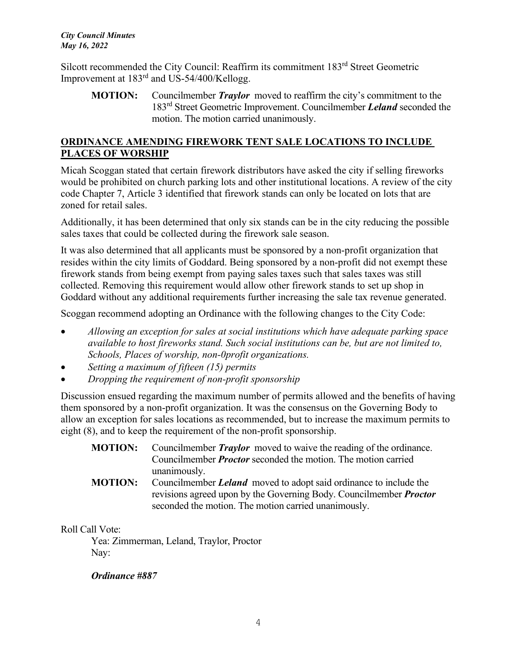Silcott recommended the City Council: Reaffirm its commitment 183rd Street Geometric Improvement at 183rd and US-54/400/Kellogg.

**MOTION:** Councilmember *Traylor* moved to reaffirm the city's commitment to the 183rd Street Geometric Improvement. Councilmember *Leland* seconded the motion. The motion carried unanimously.

## **ORDINANCE AMENDING FIREWORK TENT SALE LOCATIONS TO INCLUDE PLACES OF WORSHIP**

Micah Scoggan stated that certain firework distributors have asked the city if selling fireworks would be prohibited on church parking lots and other institutional locations. A review of the city code Chapter 7, Article 3 identified that firework stands can only be located on lots that are zoned for retail sales.

Additionally, it has been determined that only six stands can be in the city reducing the possible sales taxes that could be collected during the firework sale season.

It was also determined that all applicants must be sponsored by a non-profit organization that resides within the city limits of Goddard. Being sponsored by a non-profit did not exempt these firework stands from being exempt from paying sales taxes such that sales taxes was still collected. Removing this requirement would allow other firework stands to set up shop in Goddard without any additional requirements further increasing the sale tax revenue generated.

Scoggan recommend adopting an Ordinance with the following changes to the City Code:

- *Allowing an exception for sales at social institutions which have adequate parking space available to host fireworks stand. Such social institutions can be, but are not limited to, Schools, Places of worship, non-0profit organizations.*
- *Setting a maximum of fifteen (15) permits*
- *Dropping the requirement of non-profit sponsorship*

Discussion ensued regarding the maximum number of permits allowed and the benefits of having them sponsored by a non-profit organization. It was the consensus on the Governing Body to allow an exception for sales locations as recommended, but to increase the maximum permits to eight (8), and to keep the requirement of the non-profit sponsorship.

- **MOTION:** Councilmember *Traylor* moved to waive the reading of the ordinance. Councilmember *Proctor* seconded the motion. The motion carried unanimously.
- **MOTION:** Councilmember *Leland* moved to adopt said ordinance to include the revisions agreed upon by the Governing Body. Councilmember *Proctor* seconded the motion. The motion carried unanimously.

Roll Call Vote:

Yea: Zimmerman, Leland, Traylor, Proctor Nay:

#### *Ordinance #887*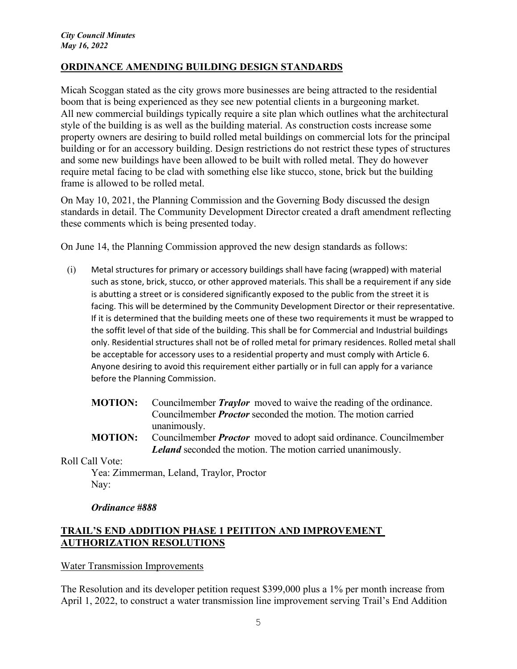### **ORDINANCE AMENDING BUILDING DESIGN STANDARDS**

Micah Scoggan stated as the city grows more businesses are being attracted to the residential boom that is being experienced as they see new potential clients in a burgeoning market. All new commercial buildings typically require a site plan which outlines what the architectural style of the building is as well as the building material. As construction costs increase some property owners are desiring to build rolled metal buildings on commercial lots for the principal building or for an accessory building. Design restrictions do not restrict these types of structures and some new buildings have been allowed to be built with rolled metal. They do however require metal facing to be clad with something else like stucco, stone, brick but the building frame is allowed to be rolled metal.

On May 10, 2021, the Planning Commission and the Governing Body discussed the design standards in detail. The Community Development Director created a draft amendment reflecting these comments which is being presented today.

On June 14, the Planning Commission approved the new design standards as follows:

- (i) Metal structures for primary or accessory buildings shall have facing (wrapped) with material such as stone, brick, stucco, or other approved materials. This shall be a requirement if any side is abutting a street or is considered significantly exposed to the public from the street it is facing. This will be determined by the Community Development Director or their representative. If it is determined that the building meets one of these two requirements it must be wrapped to the soffit level of that side of the building. This shall be for Commercial and Industrial buildings only. Residential structures shall not be of rolled metal for primary residences. Rolled metal shall be acceptable for accessory uses to a residential property and must comply with Article 6. Anyone desiring to avoid this requirement either partially or in full can apply for a variance before the Planning Commission.
	- **MOTION:** Councilmember *Traylor* moved to waive the reading of the ordinance. Councilmember *Proctor* seconded the motion. The motion carried unanimously.
	- **MOTION:** Councilmember *Proctor* moved to adopt said ordinance. Councilmember *Leland* seconded the motion. The motion carried unanimously.

Roll Call Vote:

 Yea: Zimmerman, Leland, Traylor, Proctor Nay:

*Ordinance #888* 

## **TRAIL'S END ADDITION PHASE 1 PEITITON AND IMPROVEMENT AUTHORIZATION RESOLUTIONS**

Water Transmission Improvements

The Resolution and its developer petition request \$399,000 plus a 1% per month increase from April 1, 2022, to construct a water transmission line improvement serving Trail's End Addition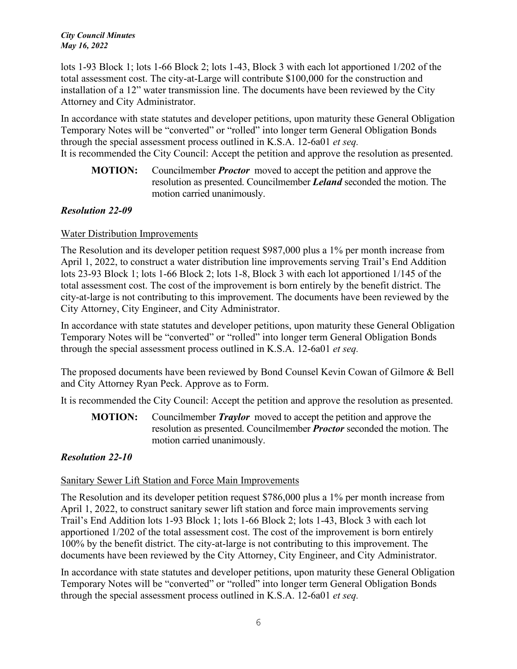lots 1-93 Block 1; lots 1-66 Block 2; lots 1-43, Block 3 with each lot apportioned 1/202 of the total assessment cost. The city-at-Large will contribute \$100,000 for the construction and installation of a 12" water transmission line. The documents have been reviewed by the City Attorney and City Administrator.

In accordance with state statutes and developer petitions, upon maturity these General Obligation Temporary Notes will be "converted" or "rolled" into longer term General Obligation Bonds through the special assessment process outlined in K.S.A. 12-6a01 *et seq.* It is recommended the City Council: Accept the petition and approve the resolution as presented.

**MOTION:** Councilmember *Proctor* moved to accept the petition and approve the resolution as presented. Councilmember *Leland* seconded the motion. The motion carried unanimously.

### *Resolution 22-09*

### Water Distribution Improvements

The Resolution and its developer petition request \$987,000 plus a 1% per month increase from April 1, 2022, to construct a water distribution line improvements serving Trail's End Addition lots 23-93 Block 1; lots 1-66 Block 2; lots 1-8, Block 3 with each lot apportioned 1/145 of the total assessment cost. The cost of the improvement is born entirely by the benefit district. The city-at-large is not contributing to this improvement. The documents have been reviewed by the City Attorney, City Engineer, and City Administrator.

In accordance with state statutes and developer petitions, upon maturity these General Obligation Temporary Notes will be "converted" or "rolled" into longer term General Obligation Bonds through the special assessment process outlined in K.S.A. 12-6a01 *et seq.*

The proposed documents have been reviewed by Bond Counsel Kevin Cowan of Gilmore & Bell and City Attorney Ryan Peck. Approve as to Form.

It is recommended the City Council: Accept the petition and approve the resolution as presented.

**MOTION:** Councilmember *Traylor* moved to accept the petition and approve the resolution as presented. Councilmember *Proctor* seconded the motion. The motion carried unanimously.

### *Resolution 22-10*

### Sanitary Sewer Lift Station and Force Main Improvements

The Resolution and its developer petition request \$786,000 plus a 1% per month increase from April 1, 2022, to construct sanitary sewer lift station and force main improvements serving Trail's End Addition lots 1-93 Block 1; lots 1-66 Block 2; lots 1-43, Block 3 with each lot apportioned 1/202 of the total assessment cost. The cost of the improvement is born entirely 100% by the benefit district. The city-at-large is not contributing to this improvement. The documents have been reviewed by the City Attorney, City Engineer, and City Administrator.

In accordance with state statutes and developer petitions, upon maturity these General Obligation Temporary Notes will be "converted" or "rolled" into longer term General Obligation Bonds through the special assessment process outlined in K.S.A. 12-6a01 *et seq.*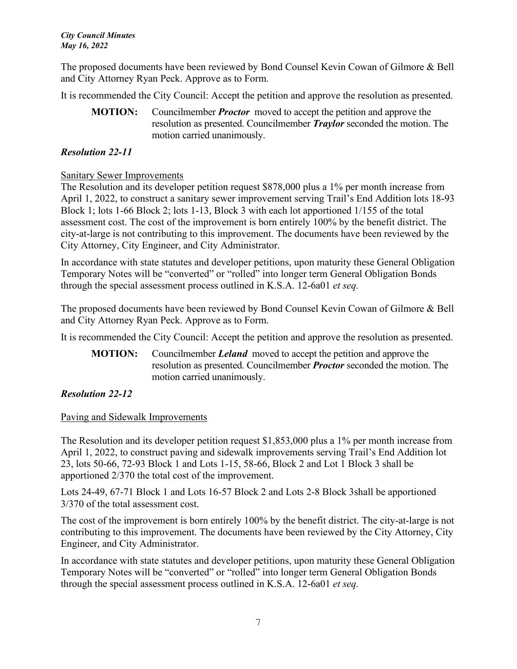The proposed documents have been reviewed by Bond Counsel Kevin Cowan of Gilmore & Bell and City Attorney Ryan Peck. Approve as to Form.

It is recommended the City Council: Accept the petition and approve the resolution as presented.

**MOTION:** Councilmember *Proctor* moved to accept the petition and approve the resolution as presented. Councilmember *Traylor* seconded the motion. The motion carried unanimously.

## *Resolution 22-11*

### Sanitary Sewer Improvements

The Resolution and its developer petition request \$878,000 plus a 1% per month increase from April 1, 2022, to construct a sanitary sewer improvement serving Trail's End Addition lots 18-93 Block 1; lots 1-66 Block 2; lots 1-13, Block 3 with each lot apportioned 1/155 of the total assessment cost. The cost of the improvement is born entirely 100% by the benefit district. The city-at-large is not contributing to this improvement. The documents have been reviewed by the City Attorney, City Engineer, and City Administrator.

In accordance with state statutes and developer petitions, upon maturity these General Obligation Temporary Notes will be "converted" or "rolled" into longer term General Obligation Bonds through the special assessment process outlined in K.S.A. 12-6a01 *et seq.*

The proposed documents have been reviewed by Bond Counsel Kevin Cowan of Gilmore & Bell and City Attorney Ryan Peck. Approve as to Form.

It is recommended the City Council: Accept the petition and approve the resolution as presented.

**MOTION:** Councilmember *Leland* moved to accept the petition and approve the resolution as presented. Councilmember *Proctor* seconded the motion. The motion carried unanimously.

### *Resolution 22-12*

#### Paving and Sidewalk Improvements

The Resolution and its developer petition request \$1,853,000 plus a 1% per month increase from April 1, 2022, to construct paving and sidewalk improvements serving Trail's End Addition lot 23, lots 50-66, 72-93 Block 1 and Lots 1-15, 58-66, Block 2 and Lot 1 Block 3 shall be apportioned 2/370 the total cost of the improvement.

Lots 24-49, 67-71 Block 1 and Lots 16-57 Block 2 and Lots 2-8 Block 3shall be apportioned 3/370 of the total assessment cost.

The cost of the improvement is born entirely 100% by the benefit district. The city-at-large is not contributing to this improvement. The documents have been reviewed by the City Attorney, City Engineer, and City Administrator.

In accordance with state statutes and developer petitions, upon maturity these General Obligation Temporary Notes will be "converted" or "rolled" into longer term General Obligation Bonds through the special assessment process outlined in K.S.A. 12-6a01 *et seq.*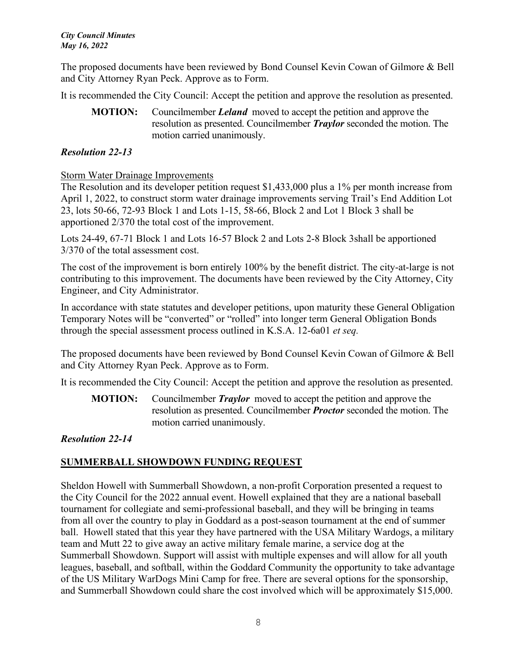The proposed documents have been reviewed by Bond Counsel Kevin Cowan of Gilmore & Bell and City Attorney Ryan Peck. Approve as to Form.

It is recommended the City Council: Accept the petition and approve the resolution as presented.

**MOTION:** Councilmember *Leland* moved to accept the petition and approve the resolution as presented. Councilmember *Traylor* seconded the motion. The motion carried unanimously.

## *Resolution 22-13*

### Storm Water Drainage Improvements

The Resolution and its developer petition request \$1,433,000 plus a 1% per month increase from April 1, 2022, to construct storm water drainage improvements serving Trail's End Addition Lot 23, lots 50-66, 72-93 Block 1 and Lots 1-15, 58-66, Block 2 and Lot 1 Block 3 shall be apportioned 2/370 the total cost of the improvement.

Lots 24-49, 67-71 Block 1 and Lots 16-57 Block 2 and Lots 2-8 Block 3shall be apportioned 3/370 of the total assessment cost.

The cost of the improvement is born entirely 100% by the benefit district. The city-at-large is not contributing to this improvement. The documents have been reviewed by the City Attorney, City Engineer, and City Administrator.

In accordance with state statutes and developer petitions, upon maturity these General Obligation Temporary Notes will be "converted" or "rolled" into longer term General Obligation Bonds through the special assessment process outlined in K.S.A. 12-6a01 *et seq.*

The proposed documents have been reviewed by Bond Counsel Kevin Cowan of Gilmore & Bell and City Attorney Ryan Peck. Approve as to Form.

It is recommended the City Council: Accept the petition and approve the resolution as presented.

**MOTION:** Councilmember *Traylor* moved to accept the petition and approve the resolution as presented. Councilmember *Proctor* seconded the motion. The motion carried unanimously.

*Resolution 22-14* 

# **SUMMERBALL SHOWDOWN FUNDING REQUEST**

Sheldon Howell with Summerball Showdown, a non-profit Corporation presented a request to the City Council for the 2022 annual event. Howell explained that they are a national baseball tournament for collegiate and semi-professional baseball, and they will be bringing in teams from all over the country to play in Goddard as a post-season tournament at the end of summer ball. Howell stated that this year they have partnered with the USA Military Wardogs, a military team and Mutt 22 to give away an active military female marine, a service dog at the Summerball Showdown. Support will assist with multiple expenses and will allow for all youth leagues, baseball, and softball, within the Goddard Community the opportunity to take advantage of the US Military WarDogs Mini Camp for free. There are several options for the sponsorship, and Summerball Showdown could share the cost involved which will be approximately \$15,000.